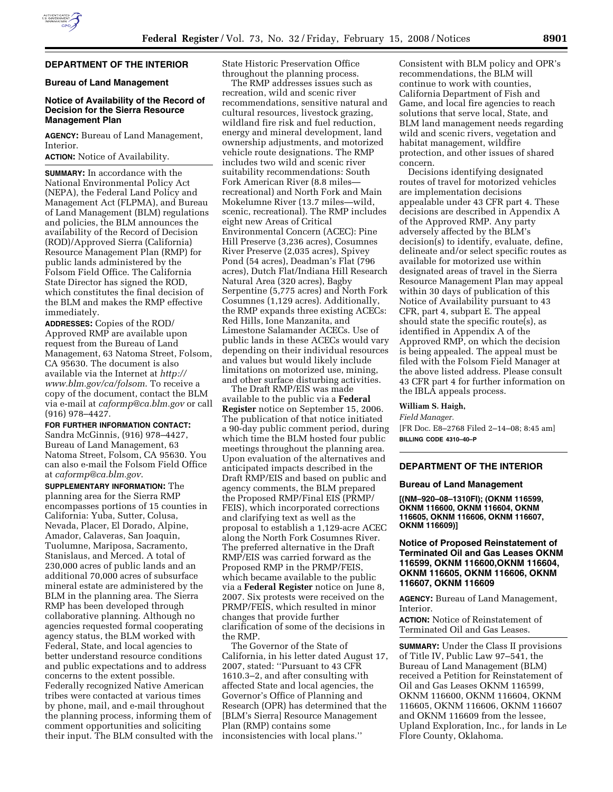

# **DEPARTMENT OF THE INTERIOR**

### **Bureau of Land Management**

# **Notice of Availability of the Record of Decision for the Sierra Resource Management Plan**

**AGENCY:** Bureau of Land Management, Interior.

**ACTION:** Notice of Availability.

**SUMMARY:** In accordance with the National Environmental Policy Act (NEPA), the Federal Land Policy and Management Act (FLPMA), and Bureau of Land Management (BLM) regulations and policies, the BLM announces the availability of the Record of Decision (ROD)/Approved Sierra (California) Resource Management Plan (RMP) for public lands administered by the Folsom Field Office. The California State Director has signed the ROD, which constitutes the final decision of the BLM and makes the RMP effective immediately.

**ADDRESSES:** Copies of the ROD/ Approved RMP are available upon request from the Bureau of Land Management, 63 Natoma Street, Folsom, CA 95630. The document is also available via the Internet at *http:// www.blm.gov/ca/folsom*. To receive a copy of the document, contact the BLM via e-mail at *caformp@ca.blm.gov* or call (916) 978–4427.

**FOR FURTHER INFORMATION CONTACT:** 

Sandra McGinnis, (916) 978–4427, Bureau of Land Management, 63 Natoma Street, Folsom, CA 95630. You can also e-mail the Folsom Field Office at *caformp@ca.blm.gov*.

**SUPPLEMENTARY INFORMATION:** The planning area for the Sierra RMP encompasses portions of 15 counties in California: Yuba, Sutter, Colusa, Nevada, Placer, El Dorado, Alpine, Amador, Calaveras, San Joaquin, Tuolumne, Mariposa, Sacramento, Stanislaus, and Merced. A total of 230,000 acres of public lands and an additional 70,000 acres of subsurface mineral estate are administered by the BLM in the planning area. The Sierra RMP has been developed through collaborative planning. Although no agencies requested formal cooperating agency status, the BLM worked with Federal, State, and local agencies to better understand resource conditions and public expectations and to address concerns to the extent possible. Federally recognized Native American tribes were contacted at various times by phone, mail, and e-mail throughout the planning process, informing them of comment opportunities and soliciting their input. The BLM consulted with the State Historic Preservation Office throughout the planning process.

The RMP addresses issues such as recreation, wild and scenic river recommendations, sensitive natural and cultural resources, livestock grazing, wildland fire risk and fuel reduction, energy and mineral development, land ownership adjustments, and motorized vehicle route designations. The RMP includes two wild and scenic river suitability recommendations: South Fork American River (8.8 miles recreational) and North Fork and Main Mokelumne River (13.7 miles—wild, scenic, recreational). The RMP includes eight new Areas of Critical Environmental Concern (ACEC): Pine Hill Preserve (3,236 acres), Cosumnes River Preserve (2,035 acres), Spivey Pond (54 acres), Deadman's Flat (796 acres), Dutch Flat/Indiana Hill Research Natural Area (320 acres), Bagby Serpentine (5,775 acres) and North Fork Cosumnes (1,129 acres). Additionally, the RMP expands three existing ACECs: Red Hills, Ione Manzanita, and Limestone Salamander ACECs. Use of public lands in these ACECs would vary depending on their individual resources and values but would likely include limitations on motorized use, mining, and other surface disturbing activities.

The Draft RMP/EIS was made available to the public via a **Federal Register** notice on September 15, 2006. The publication of that notice initiated a 90-day public comment period, during which time the BLM hosted four public meetings throughout the planning area. Upon evaluation of the alternatives and anticipated impacts described in the Draft RMP/EIS and based on public and agency comments, the BLM prepared the Proposed RMP/Final EIS (PRMP/ FEIS), which incorporated corrections and clarifying text as well as the proposal to establish a 1,129-acre ACEC along the North Fork Cosumnes River. The preferred alternative in the Draft RMP/EIS was carried forward as the Proposed RMP in the PRMP/FEIS, which became available to the public via a **Federal Register** notice on June 8, 2007. Six protests were received on the PRMP/FEIS, which resulted in minor changes that provide further clarification of some of the decisions in the RMP.

The Governor of the State of California, in his letter dated August 17, 2007, stated: ''Pursuant to 43 CFR 1610.3–2, and after consulting with affected State and local agencies, the Governor's Office of Planning and Research (OPR) has determined that the [BLM's Sierra] Resource Management Plan (RMP) contains some inconsistencies with local plans.''

Consistent with BLM policy and OPR's recommendations, the BLM will continue to work with counties, California Department of Fish and Game, and local fire agencies to reach solutions that serve local, State, and BLM land management needs regarding wild and scenic rivers, vegetation and habitat management, wildfire protection, and other issues of shared concern.

Decisions identifying designated routes of travel for motorized vehicles are implementation decisions appealable under 43 CFR part 4. These decisions are described in Appendix A of the Approved RMP. Any party adversely affected by the BLM's decision(s) to identify, evaluate, define, delineate and/or select specific routes as available for motorized use within designated areas of travel in the Sierra Resource Management Plan may appeal within 30 days of publication of this Notice of Availability pursuant to 43 CFR, part 4, subpart E. The appeal should state the specific route(s), as identified in Appendix A of the Approved RMP, on which the decision is being appealed. The appeal must be filed with the Folsom Field Manager at the above listed address. Please consult 43 CFR part 4 for further information on the IBLA appeals process.

# **William S. Haigh,**

*Field Manager.*  [FR Doc. E8–2768 Filed 2–14–08; 8:45 am] **BILLING CODE 4310–40–P** 

# **DEPARTMENT OF THE INTERIOR**

#### **Bureau of Land Management**

**[(NM–920–08–1310FI); (OKNM 116599, OKNM 116600, OKNM 116604, OKNM 116605, OKNM 116606, OKNM 116607, OKNM 116609)]** 

# **Notice of Proposed Reinstatement of Terminated Oil and Gas Leases OKNM 116599, OKNM 116600,OKNM 116604, OKNM 116605, OKNM 116606, OKNM 116607, OKNM 116609**

**AGENCY:** Bureau of Land Management, **Interior** 

**ACTION:** Notice of Reinstatement of Terminated Oil and Gas Leases.

**SUMMARY:** Under the Class II provisions of Title IV, Public Law 97–541, the Bureau of Land Management (BLM) received a Petition for Reinstatement of Oil and Gas Leases OKNM 116599, OKNM 116600, OKNM 116604, OKNM 116605, OKNM 116606, OKNM 116607 and OKNM 116609 from the lessee, Upland Exploration, Inc., for lands in Le Flore County, Oklahoma.